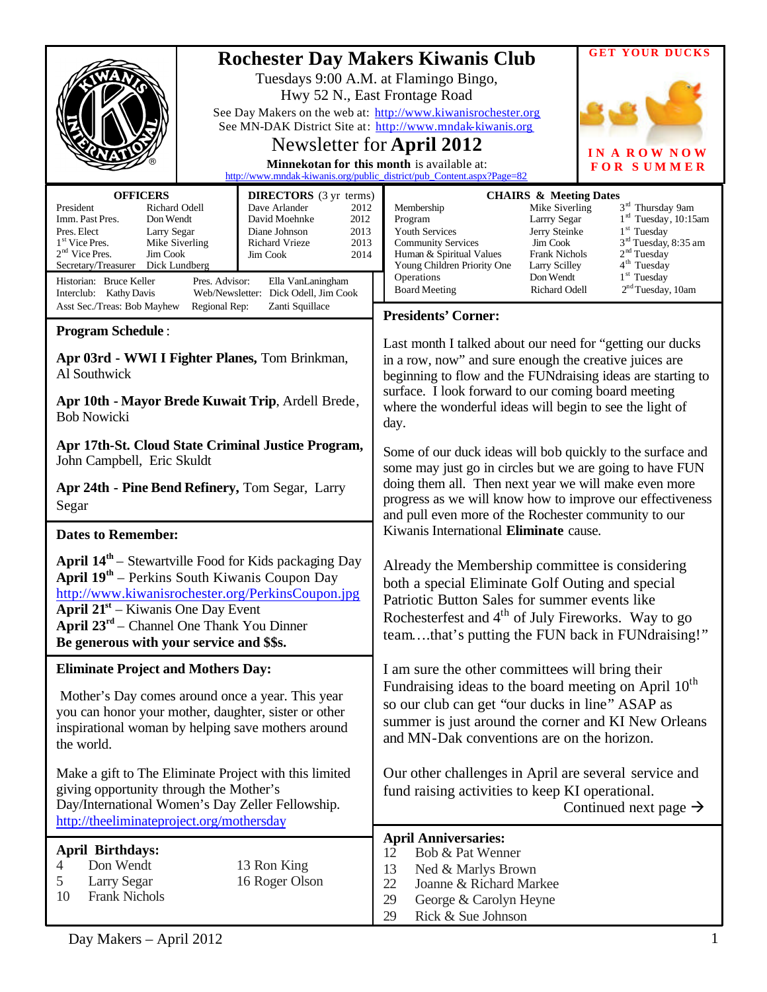|                                                                                                                                                                                                                                                                                                                                                                                                                                                                                           | <b>GET YOUR DUCKS</b><br><b>Rochester Day Makers Kiwanis Club</b>                                                                                                                                                                                                                                                                                                                                                                                                                                                                                                                                                                                 |
|-------------------------------------------------------------------------------------------------------------------------------------------------------------------------------------------------------------------------------------------------------------------------------------------------------------------------------------------------------------------------------------------------------------------------------------------------------------------------------------------|---------------------------------------------------------------------------------------------------------------------------------------------------------------------------------------------------------------------------------------------------------------------------------------------------------------------------------------------------------------------------------------------------------------------------------------------------------------------------------------------------------------------------------------------------------------------------------------------------------------------------------------------------|
|                                                                                                                                                                                                                                                                                                                                                                                                                                                                                           | Tuesdays 9:00 A.M. at Flamingo Bingo,<br>Hwy 52 N., East Frontage Road<br>See Day Makers on the web at: http://www.kiwanisrochester.org<br>See MN-DAK District Site at: http://www.mndak-kiwanis.org<br>Newsletter for April 2012<br>IN A ROW NOW<br>Minnekotan for this month is available at:<br><b>FOR SUMMER</b><br>http://www.mndak-kiwanis.org/public_district/pub_Content.aspx?Page=82                                                                                                                                                                                                                                                     |
| <b>OFFICERS</b><br><b>DIRECTORS</b> (3 yr terms)<br>Dave Arlander<br>President<br>Richard Odell<br>David Moehnke<br>Imm. Past Pres.<br>Don Wendt<br>Diane Johnson<br>Pres. Elect<br>Larry Segar<br>1 <sup>st</sup> Vice Pres.<br>Mike Siverling<br>Richard Vrieze<br>$2nd$ Vice Pres.<br>Jim Cook<br>Jim Cook<br>Secretary/Treasurer<br>Dick Lundberg<br>Historian: Bruce Keller<br>Pres. Advisor:<br>Ella VanLaningham<br>Web/Newsletter: Dick Odell, Jim Cook<br>Interclub: Kathy Davis | <b>CHAIRS &amp; Meeting Dates</b><br>3 <sup>rd</sup> Thursday 9am<br>2012<br>Membership<br>Mike Siverling<br>1 <sup>rd</sup> Tuesday, 10:15am<br>2012<br>Program<br>Larrry Segar<br>$1st$ Tuesday<br><b>Youth Services</b><br>Jerry Steinke<br>2013<br>3 <sup>rd</sup> Tuesday, 8:35 am<br>Jim Cook<br>2013<br><b>Community Services</b><br>2 <sup>nd</sup> Tuesday<br><b>Frank Nichols</b><br>Human & Spiritual Values<br>2014<br>4 <sup>th</sup> Tuesday<br>Young Children Priority One<br>Larry Scilley<br>1 <sup>st</sup> Tuesday<br>Operations<br>Don Wendt<br>2 <sup>nd</sup> Tuesday, 10am<br><b>Board Meeting</b><br><b>Richard Odell</b> |
| Asst Sec./Treas: Bob Mayhew<br>Regional Rep:<br>Zanti Squillace                                                                                                                                                                                                                                                                                                                                                                                                                           | <b>Presidents' Corner:</b>                                                                                                                                                                                                                                                                                                                                                                                                                                                                                                                                                                                                                        |
| <b>Program Schedule:</b><br>Apr 03rd - WWI I Fighter Planes, Tom Brinkman,<br>Al Southwick<br>Apr 10th - Mayor Brede Kuwait Trip, Ardell Brede,<br><b>Bob Nowicki</b>                                                                                                                                                                                                                                                                                                                     | Last month I talked about our need for "getting our ducks"<br>in a row, now" and sure enough the creative juices are<br>beginning to flow and the FUNdraising ideas are starting to<br>surface. I look forward to our coming board meeting<br>where the wonderful ideas will begin to see the light of<br>day.                                                                                                                                                                                                                                                                                                                                    |
| Apr 17th-St. Cloud State Criminal Justice Program,<br>John Campbell, Eric Skuldt                                                                                                                                                                                                                                                                                                                                                                                                          | Some of our duck ideas will bob quickly to the surface and<br>some may just go in circles but we are going to have FUN                                                                                                                                                                                                                                                                                                                                                                                                                                                                                                                            |
| Apr 24th - Pine Bend Refinery, Tom Segar, Larry<br>Segar                                                                                                                                                                                                                                                                                                                                                                                                                                  | doing them all. Then next year we will make even more<br>progress as we will know how to improve our effectiveness<br>and pull even more of the Rochester community to our                                                                                                                                                                                                                                                                                                                                                                                                                                                                        |
| <b>Dates to Remember:</b>                                                                                                                                                                                                                                                                                                                                                                                                                                                                 | Kiwanis International Eliminate cause.                                                                                                                                                                                                                                                                                                                                                                                                                                                                                                                                                                                                            |
| <b>April <math>14^{\text{th}}</math></b> – Stewartville Food for Kids packaging Day<br>April 19 <sup>th</sup> – Perkins South Kiwanis Coupon Day<br>http://www.kiwanisrochester.org/PerkinsCoupon.jpg<br><b>April 21st</b> – Kiwanis One Day Event<br><b>April <math>23^{rd}</math></b> – Channel One Thank You Dinner<br>Be generous with your service and \$\$s.                                                                                                                        | Already the Membership committee is considering<br>both a special Eliminate Golf Outing and special<br>Patriotic Button Sales for summer events like<br>Rochesterfest and 4 <sup>th</sup> of July Fireworks. Way to go<br>teamthat's putting the FUN back in FUNdraising!"                                                                                                                                                                                                                                                                                                                                                                        |
| <b>Eliminate Project and Mothers Day:</b>                                                                                                                                                                                                                                                                                                                                                                                                                                                 | I am sure the other committees will bring their                                                                                                                                                                                                                                                                                                                                                                                                                                                                                                                                                                                                   |
| Mother's Day comes around once a year. This year<br>you can honor your mother, daughter, sister or other<br>inspirational woman by helping save mothers around<br>the world.                                                                                                                                                                                                                                                                                                              | Fundraising ideas to the board meeting on April 10 <sup>th</sup><br>so our club can get "our ducks in line" ASAP as<br>summer is just around the corner and KI New Orleans<br>and MN-Dak conventions are on the horizon.                                                                                                                                                                                                                                                                                                                                                                                                                          |
| Make a gift to The Eliminate Project with this limited<br>giving opportunity through the Mother's<br>Day/International Women's Day Zeller Fellowship.<br>http://theeliminateproject.org/mothersday                                                                                                                                                                                                                                                                                        | Our other challenges in April are several service and<br>fund raising activities to keep KI operational.<br>Continued next page $\rightarrow$                                                                                                                                                                                                                                                                                                                                                                                                                                                                                                     |
| <b>April Birthdays:</b><br>Don Wendt<br>13 Ron King<br>4<br>Larry Segar<br>16 Roger Olson<br>5<br>10<br><b>Frank Nichols</b>                                                                                                                                                                                                                                                                                                                                                              | <b>April Anniversaries:</b><br>Bob & Pat Wenner<br>12<br>13<br>Ned & Marlys Brown<br>22<br>Joanne & Richard Markee<br>29<br>George & Carolyn Heyne<br>29<br>Rick & Sue Johnson                                                                                                                                                                                                                                                                                                                                                                                                                                                                    |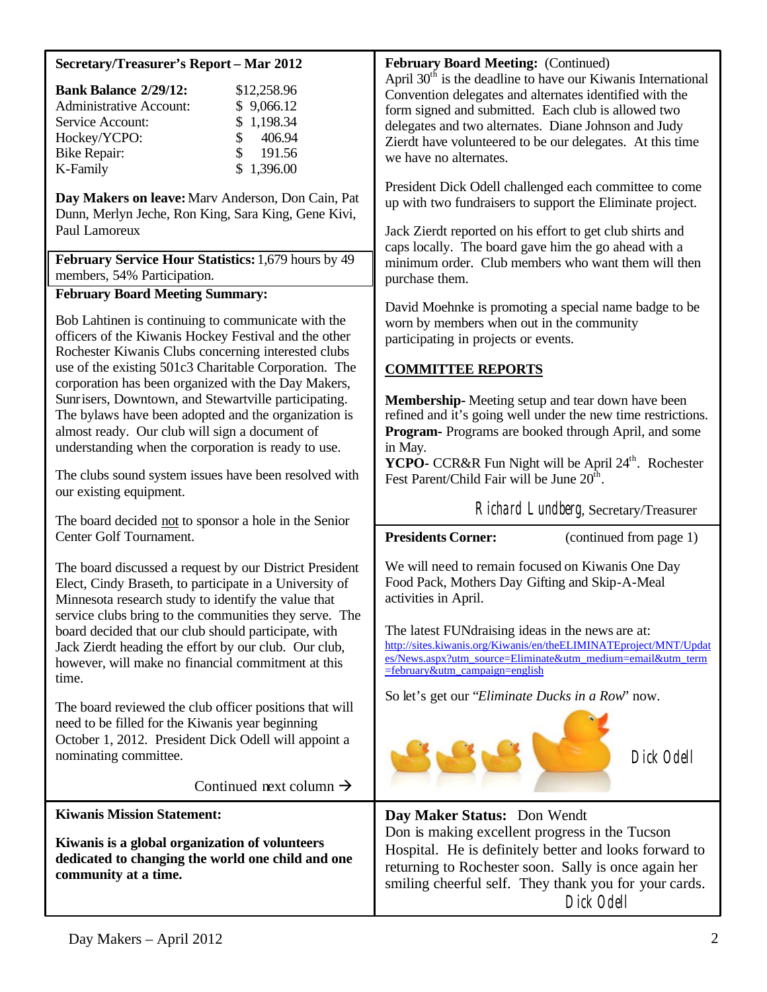### **Secretary/Treasurer's Report – Mar 2012**

| <b>Bank Balance 2/29/12:</b>   | \$12,258.96            |
|--------------------------------|------------------------|
| <b>Administrative Account:</b> | \$9,066.12             |
| Service Account:               | \$1,198.34             |
| Hockey/YCPO:                   | 406.94<br>$\mathbf{s}$ |
| <b>Bike Repair:</b>            | \$191.56               |
| K-Family                       | \$1,396.00             |

**Day Makers on leave:**Marv Anderson, Don Cain, Pat Dunn, Merlyn Jeche, Ron King, Sara King, Gene Kivi, Paul Lamoreux

**February Service Hour Statistics:** 1,679 hours by 49 members, 54% Participation.

### **February Board Meeting Summary:**

Bob Lahtinen is continuing to communicate with the officers of the Kiwanis Hockey Festival and the other Rochester Kiwanis Clubs concerning interested clubs use of the existing 501c3 Charitable Corporation. The corporation has been organized with the Day Makers, Sunrisers, Downtown, and Stewartville participating. The bylaws have been adopted and the organization is almost ready. Our club will sign a document of understanding when the corporation is ready to use.

The clubs sound system issues have been resolved with our existing equipment.

The board decided not to sponsor a hole in the Senior Center Golf Tournament.

The board discussed a request by our District President Elect, Cindy Braseth, to participate in a University of Minnesota research study to identify the value that service clubs bring to the communities they serve. The board decided that our club should participate, with Jack Zierdt heading the effort by our club. Our club, however, will make no financial commitment at this time.

The board reviewed the club officer positions that will need to be filled for the Kiwanis year beginning October 1, 2012. President Dick Odell will appoint a nominating committee.

Continued next column  $\rightarrow$ 

**Kiwanis Mission Statement:**

**Kiwanis is a global organization of volunteers dedicated to changing the world one child and one community at a time.**

### **February Board Meeting:** (Continued)

April  $30<sup>th</sup>$  is the deadline to have our Kiwanis International Convention delegates and alternates identified with the form signed and submitted. Each club is allowed two delegates and two alternates. Diane Johnson and Judy Zierdt have volunteered to be our delegates. At this time we have no alternates.

President Dick Odell challenged each committee to come up with two fundraisers to support the Eliminate project.

Jack Zierdt reported on his effort to get club shirts and caps locally. The board gave him the go ahead with a minimum order. Club members who want them will then purchase them.

David Moehnke is promoting a special name badge to be worn by members when out in the community participating in projects or events.

### **COMMITTEE REPORTS**

**Membership-** Meeting setup and tear down have been refined and it's going well under the new time restrictions. **Program-** Programs are booked through April, and some in May.

**YCPO-** CCR&R Fun Night will be April 24<sup>th</sup>. Rochester Fest Parent/Child Fair will be June  $20^{\text{th}}$ .

Richard Lundberg, Secretary/Treasurer

**Presidents Corner:** (continued from page 1)

We will need to remain focused on Kiwanis One Day Food Pack, Mothers Day Gifting and Skip-A-Meal activities in April.

The latest FUNdraising ideas in the news are at: http://sites.kiwanis.org/Kiwanis/en/theELIMINATEproject/MNT/Updat [es/News.aspx?utm\\_source=Eliminate&utm\\_medium=email&utm\\_term](http://sites.kiwanis.org/Kiwanis/en/theELIMINATEproject/MNT/Updates/News.aspx?utm_source=Eliminate&utm_medium=email&utm_term=february&utm_campaign=english) =february&utm\_campaign=english

So let's get our "*Eliminate Ducks in a Row*" now.



Dick Odell

**Day Maker Status:** Don Wendt Don is making excellent progress in the Tucson Hospital. He is definitely better and looks forward to returning to Rochester soon. Sally is once again her smiling cheerful self. They thank you for your cards. Dick Odell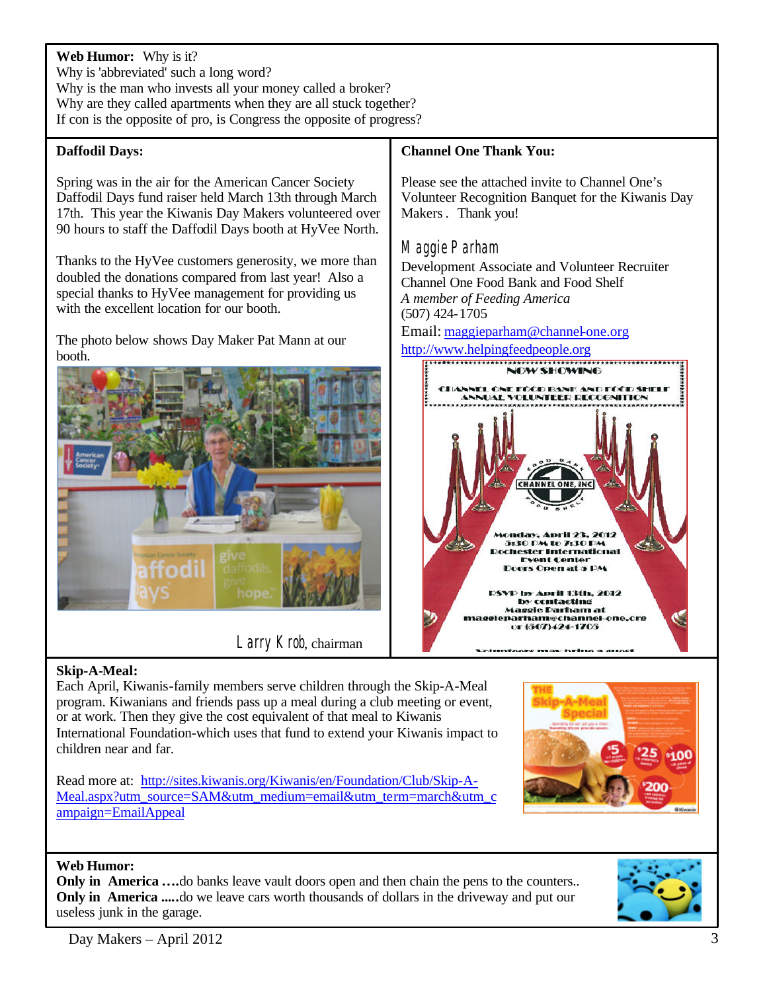### Read more at: http://sites.kiwanis.org/Kiwanis/en/Foundation/Club/Skip-A-

**Only in America ....** do banks leave vault doors open and then chain the pens to the counters.. **Only in America .....** do we leave cars worth thousands of dollars in the driveway and put our

Larry Krob, chairman

[Meal.aspx?utm\\_source=SAM&utm\\_medium=email&utm\\_term=march&utm\\_c](http://sites.kiwanis.org/Kiwanis/en/Foundation/Club/Skip-A-Meal.aspx?utm_source=SAM&utm_medium=email&utm_term=march&utm_campaign=EmailAppeal) ampaign=EmailAppeal

## **Skip-A-Meal:**

**Web Humor:**

**Web Humor:** Why is it?

**Daffodil Days:**

booth.

Why is 'abbreviated' such a long word?

with the excellent location for our booth.

Why is the man who invests all your money called a broker? Why are they called apartments when they are all stuck together? If con is the opposite of pro, is Congress the opposite of progress?

Spring was in the air for the American Cancer Society Daffodil Days fund raiser held March 13th through March 17th. This year the Kiwanis Day Makers volunteered over 90 hours to staff the Daffodil Days booth at HyVee North.

Thanks to the HyVee customers generosity, we more than doubled the donations compared from last year! Also a special thanks to HyVee management for providing us

Each April, Kiwanis-family members serve children through the Skip-A-Meal program. Kiwanians and friends pass up a meal during a club meeting or event, or at work. Then they give the cost equivalent of that meal to Kiwanis International Foundation-which uses that fund to extend your Kiwanis impact to children near and far.

# ffodi

### **Channel One Thank You:**

Please see the attached invite to Channel One's Volunteer Recognition Banquet for the Kiwanis Day Makers . Thank you!

### Maggie Parham

Development Associate and Volunteer Recruiter Channel One Food Bank and Food Shelf *A member of Feeding America* (507) 424-1705 Email: maggieparham@channel-one.org